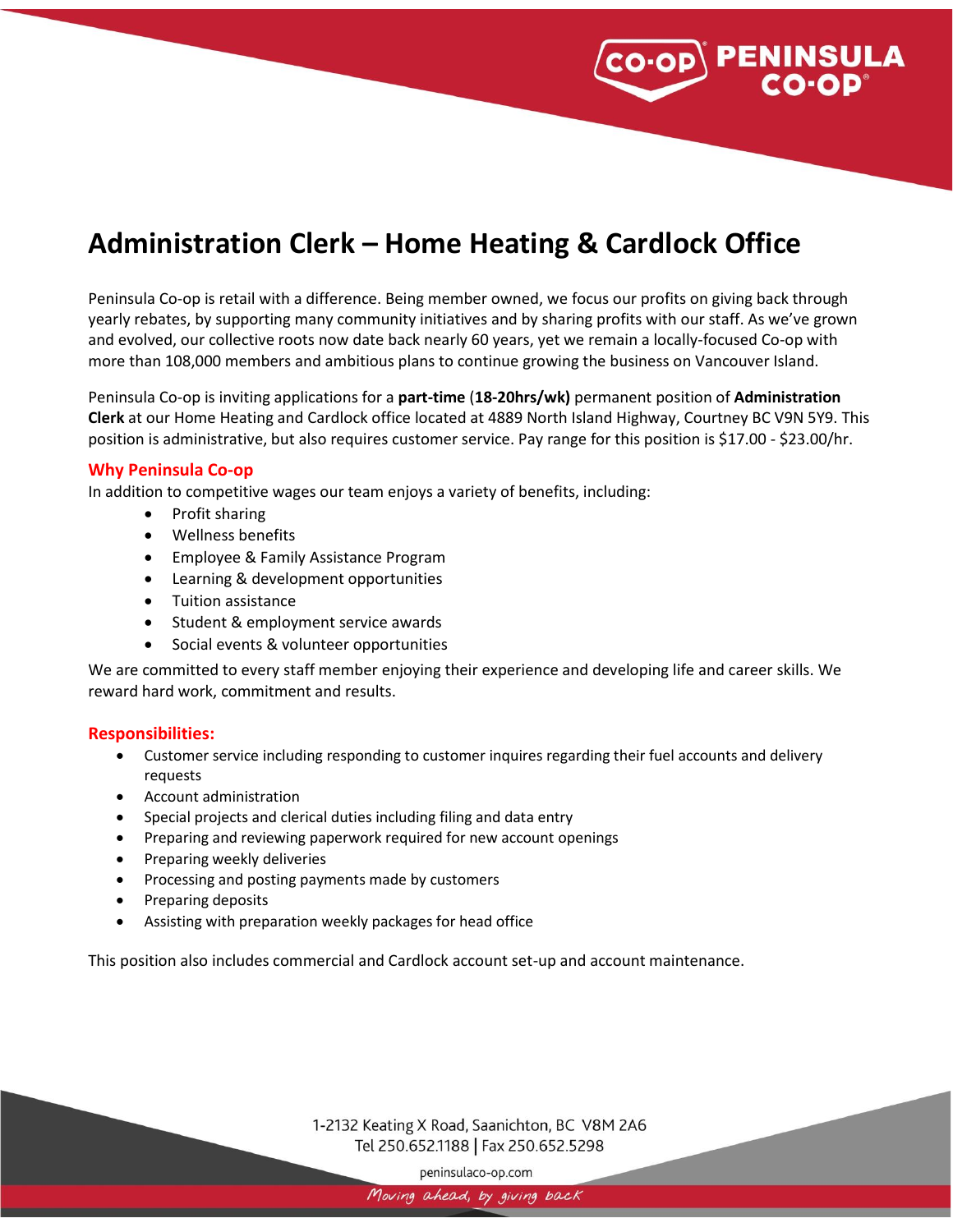

# **Administration Clerk – Home Heating & Cardlock Office**

Peninsula Co-op is retail with a difference. Being member owned, we focus our profits on giving back through yearly rebates, by supporting many community initiatives and by sharing profits with our staff. As we've grown and evolved, our collective roots now date back nearly 60 years, yet we remain a locally-focused Co-op with more than 108,000 members and ambitious plans to continue growing the business on Vancouver Island.

Peninsula Co-op is inviting applications for a **part-time** (**18-20hrs/wk)** permanent position of **Administration Clerk** at our Home Heating and Cardlock office located at 4889 North Island Highway, Courtney BC V9N 5Y9. This position is administrative, but also requires customer service. Pay range for this position is \$17.00 - \$23.00/hr.

### **Why Peninsula Co-op**

In addition to competitive wages our team enjoys a variety of benefits, including:

- Profit sharing
- Wellness benefits
- Employee & Family Assistance Program
- Learning & development opportunities
- Tuition assistance
- Student & employment service awards
- Social events & volunteer opportunities

We are committed to every staff member enjoying their experience and developing life and career skills. We reward hard work, commitment and results.

#### **Responsibilities:**

- Customer service including responding to customer inquires regarding their fuel accounts and delivery requests
- Account administration
- Special projects and clerical duties including filing and data entry
- Preparing and reviewing paperwork required for new account openings
- Preparing weekly deliveries
- Processing and posting payments made by customers
- Preparing deposits
- Assisting with preparation weekly packages for head office

This position also includes commercial and Cardlock account set-up and account maintenance.

1-2132 Keating X Road, Saanichton, BC V8M 2A6 Tel 250.652.1188 | Fax 250.652.5298

peninsulaco-op.com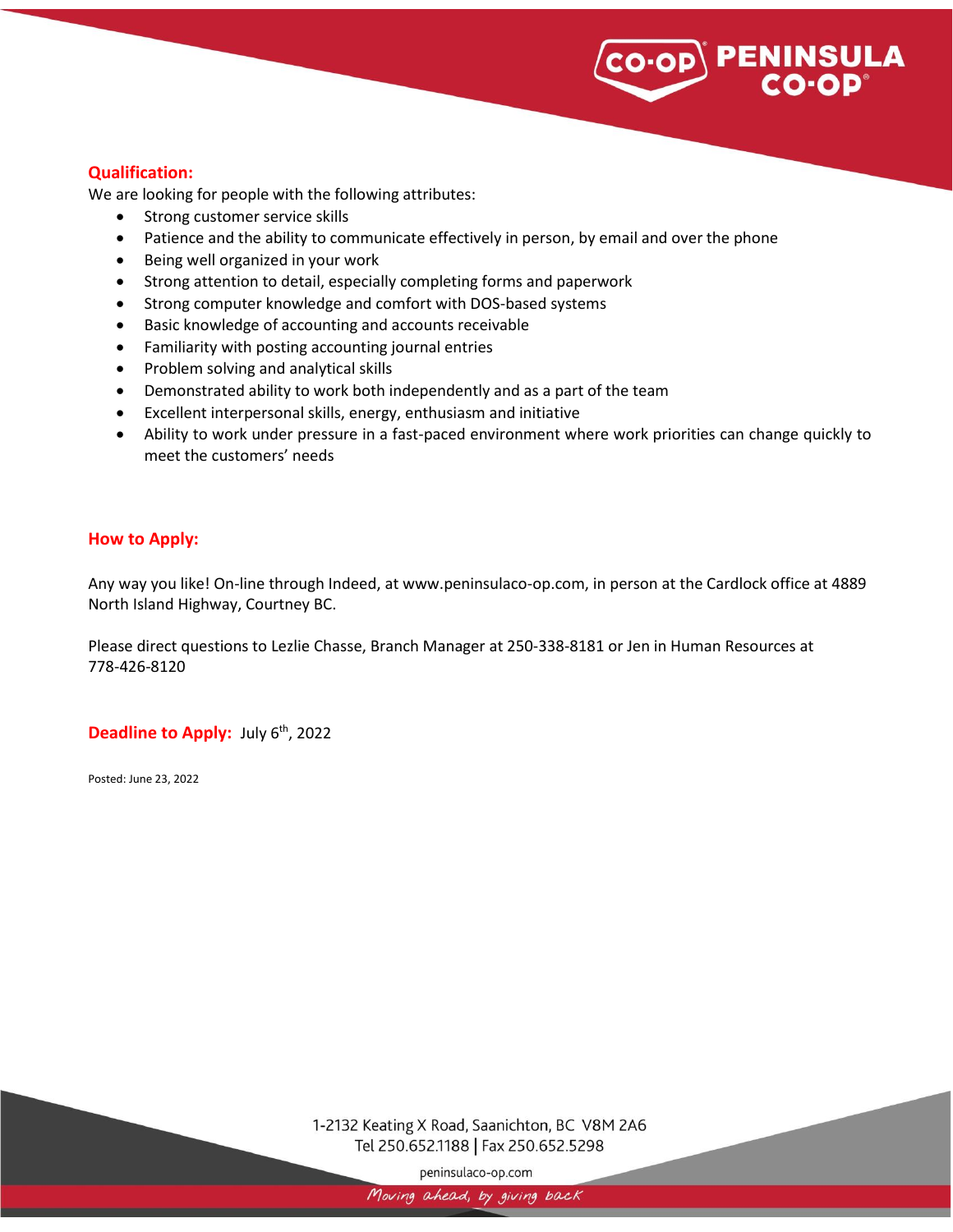# **PENINSULA**<br>CO·OP®

## **Qualification:**

We are looking for people with the following attributes:

- Strong customer service skills
- Patience and the ability to communicate effectively in person, by email and over the phone
- Being well organized in your work
- Strong attention to detail, especially completing forms and paperwork
- Strong computer knowledge and comfort with DOS-based systems
- Basic knowledge of accounting and accounts receivable
- Familiarity with posting accounting journal entries
- Problem solving and analytical skills
- Demonstrated ability to work both independently and as a part of the team
- Excellent interpersonal skills, energy, enthusiasm and initiative
- Ability to work under pressure in a fast-paced environment where work priorities can change quickly to meet the customers' needs

### **How to Apply:**

Any way you like! On-line through Indeed, at www.peninsulaco-op.com, in person at the Cardlock office at 4889 North Island Highway, Courtney BC.

Please direct questions to Lezlie Chasse, Branch Manager at 250-338-8181 or Jen in Human Resources at 778-426-8120

**Deadline to Apply:** July 6<sup>th</sup>, 2022

Posted: June 23, 2022

1-2132 Keating X Road, Saanichton, BC V8M 2A6 Tel 250.652.1188 | Fax 250.652.5298

peninsulaco-op.com

Moving ahead, by giving back